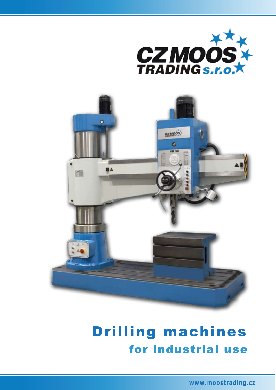



## **Drilling machines** for industrial use

www.moostrading.cz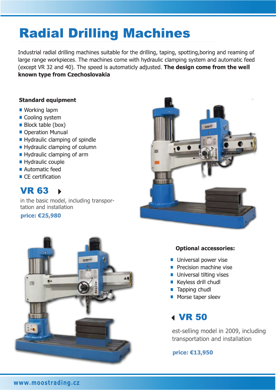# **Radial Drilling Machines**

Industrial radial drilling machines suitable for the drilling, taping, spotting, boring and reaming of large range workpieces. The machines come with hydraulic clamping system and automatic feed (except VR 32 and 40). The speed is automaticly adjusted. The design come from the well known type from Czechoslovakia

### **Standard equipment**

- Working lapm
- Cooling system
- **Block table (box)**
- Operation Munual
- Hydraulic clamping of spindle
- Hydraulic clamping of column
- Hydraulic clamping of arm
- Hydraulic couple
- Automatic feed
- $\blacksquare$  CE certification

#### **VR 63**  $\blacktriangleright$

in the basic model, including transportation and installation

price: €25,980





## **Optional accessories:**

- **Universal power vise**
- Precision machine vise
- **Universal tilting vises**
- Keyless drill chudl
- $\blacksquare$  Tapping chudl
- Morse taper sleev

## **4 VR 50**

est-selling model in 2009, including transportation and installation

## price: €13,950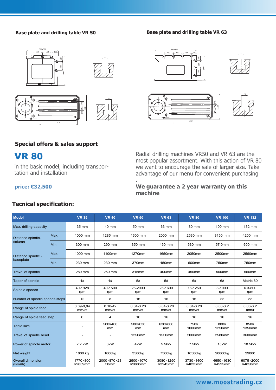#### **Base plate and drilling table VR 50 Base plate and drilling table VR 63**













## **Special offers & sales support**

## VR 80

**price: €32,500**

in the basic model, including transportation and installation

Radial drilling machines VR50 and VR 63 are the most popular assortment. With this action of VR 80 we want to encourage the sale of larger size. Take advantage of our menu for convenient purchasing

#### **We guarantee a 2 year warranty on this machine**

| <b>Model</b>                                        |            | <b>VR 35</b>                 | <b>VR 40</b>         | <b>VR 50</b>           | <b>VR 63</b>           | <b>VR 80</b>           | <b>VR 100</b>         | <b>VR 132</b>        |
|-----------------------------------------------------|------------|------------------------------|----------------------|------------------------|------------------------|------------------------|-----------------------|----------------------|
| Max. drilling capacity                              |            | 35 mm                        | 40 mm                | 50 mm                  | 63 mm                  | 80 mm                  | 100 mm                | 132 mm               |
| Distance spindle-<br>column                         | <b>Max</b> | 1000 mm                      | 1285 mm              | 1600 mm                | 2000 mm                | 2530 mm                | 3150 mm               | 4200 mm              |
|                                                     | <b>Min</b> | 300 mm                       | 290 mm               | 350 mm                 | 450 mm                 | 530 mm                 | 57 0mm                | 600 mm               |
| Distance spindle -<br>baseplate                     | <b>Max</b> | 1000 mm                      | 1100mm               | 1270mm                 | 1650mm                 | 2050mm                 | 2500mm                | 2560mm               |
|                                                     | <b>Min</b> | 230 mm                       | 230 mm               | 370mm                  | 450mm                  | 600mm                  | 750mm                 | 750mm                |
| Travel of spindle                                   |            | 280 mm                       | 250 mm               | 315mm                  | 400mm                  | 450mm                  | 500mm                 | 560mm                |
| Taper of spindle                                    |            | 4#                           | 4#                   | 5#                     | 5#                     | 6#                     | 6#                    | Metric 80            |
| Spindle speeds                                      |            | 40-1928<br>rpm               | 40-1500<br>rpm       | 25-2000<br>rpm         | 25-1600<br>rpm         | 16-1250<br>rpm         | 8-1000<br>rpm         | 6.3-800<br>rpm       |
| Number of spindle speeds steps                      |            | 12                           | 8                    | 16                     | 16                     | 16                     | 22                    | 22                   |
| Range of spidle feed                                |            | $0.09 - 0.84$<br>mm/ot       | $0.10 - 42$<br>mm/ot | $0.04 - 3.20$<br>mm/ot | $0.04 - 3.20$<br>mm/ot | $0.04 - 3.20$<br>mm/ot | $0.06 - 3.2$<br>mm/ot | $0.06 - 3.2$<br>mm/r |
| Range of spidle feed step                           |            | 6                            | 4                    | 16                     | 16                     | 16                     | 16                    | 16                   |
| Table size                                          |            |                              | 500×400<br>mm        | 500×630<br>mm          | 630×800<br>mm          | 750×<br>1000mm         | 800×<br>1250mm        | 850×<br>1350mm       |
| Travel of spindle head                              |            |                              |                      | 1250mm                 | 1550mm                 | 2000mm                 | 2580mm                | 3600mm               |
| Power of spindle motor                              |            | 2,2 kW                       | 3kW                  | 4kW                    | 5.5kW                  | 7.5kW                  | 15kW                  | 18.5kW               |
| Net weight                                          |            | 1600 kg                      | 1800kg               | 3500kg                 | 7300kg                 | 10500kg                | 20000kg               | 29000                |
| <b>Overall dimension</b><br>$(l \times w \times h)$ |            | 1770×800<br>$\times 2059$ mm | 2000×870×23<br>50mm  | 2500×1070<br>×2880mm   | 3080×1250<br>×3245mm   | 3730×1400<br>×4835mm   | 4650×1630<br>×4525mm  | 6075×2000<br>×4850mm |

.

## **Tecnical specification:**